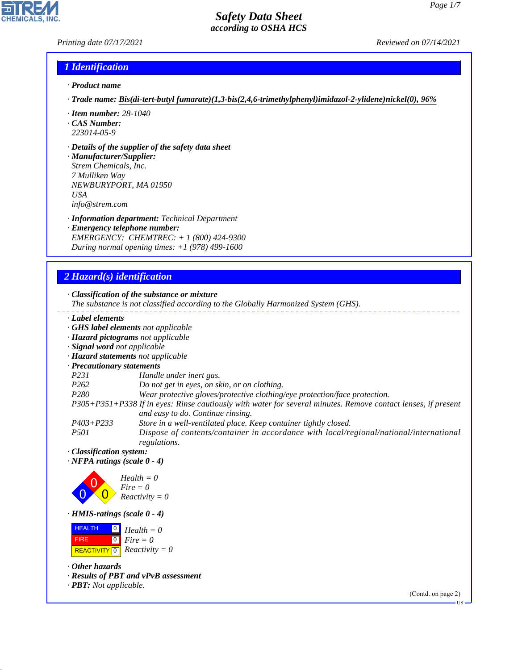#### *Printing date 07/17/2021 Reviewed on 07/14/2021*

## *1 Identification*

- *· Product name*
- *· Trade name: Bis(di-tert-butyl fumarate)(1,3-bis(2,4,6-trimethylphenyl)imidazol-2-ylidene)nickel(0), 96%*
- *· Item number: 28-1040*
- *· CAS Number: 223014-05-9*
- *· Details of the supplier of the safety data sheet*

*· Manufacturer/Supplier: Strem Chemicals, Inc. 7 Mulliken Way NEWBURYPORT, MA 01950 USA info@strem.com*

*· Information department: Technical Department*

*· Emergency telephone number: EMERGENCY: CHEMTREC: + 1 (800) 424-9300 During normal opening times: +1 (978) 499-1600*

# *2 Hazard(s) identification*

| · Classification of the substance or mixture |  |  |  |  |
|----------------------------------------------|--|--|--|--|
|----------------------------------------------|--|--|--|--|

- *The substance is not classified according to the Globally Harmonized System (GHS).*
- *· Label elements*
- *· GHS label elements not applicable*
- *· Hazard pictograms not applicable*
- *· Signal word not applicable*
- *· Hazard statements not applicable*
- *· Precautionary statements*
- *P231 Handle under inert gas.*
- *P262 Do not get in eyes, on skin, or on clothing.*
- *P280 Wear protective gloves/protective clothing/eye protection/face protection.*
- *P305+P351+P338 If in eyes: Rinse cautiously with water for several minutes. Remove contact lenses, if present and easy to do. Continue rinsing.*
- *P403+P233 Store in a well-ventilated place. Keep container tightly closed.*
- *P501 Dispose of contents/container in accordance with local/regional/national/international regulations.*
- *· Classification system:*
- *· NFPA ratings (scale 0 4)*



*· HMIS-ratings (scale 0 - 4)*

 HEALTH FIRE  $\boxed{\text{REACTIVITY} \boxed{0}}$  Reactivity = 0  $\boxed{0}$  $\boxed{0}$ *Health = 0 Fire = 0*

*· Other hazards*

44.1.1

- *· Results of PBT and vPvB assessment*
- *· PBT: Not applicable.*

(Contd. on page 2)

US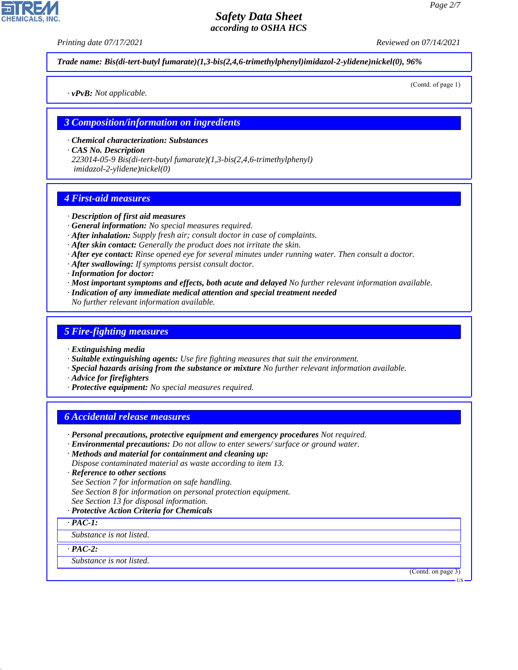*Printing date 07/17/2021 Reviewed on 07/14/2021*

*Trade name: Bis(di-tert-butyl fumarate)(1,3-bis(2,4,6-trimethylphenyl)imidazol-2-ylidene)nickel(0), 96%*

(Contd. of page 1)

*· vPvB: Not applicable.*

#### *3 Composition/information on ingredients*

*· Chemical characterization: Substances*

*· CAS No. Description*

*223014-05-9 Bis(di-tert-butyl fumarate)(1,3-bis(2,4,6-trimethylphenyl) imidazol-2-ylidene)nickel(0)*

#### *4 First-aid measures*

#### *· Description of first aid measures*

- *· General information: No special measures required.*
- *· After inhalation: Supply fresh air; consult doctor in case of complaints.*
- *· After skin contact: Generally the product does not irritate the skin.*
- *· After eye contact: Rinse opened eye for several minutes under running water. Then consult a doctor.*
- *· After swallowing: If symptoms persist consult doctor.*
- *· Information for doctor:*
- *· Most important symptoms and effects, both acute and delayed No further relevant information available.*
- *· Indication of any immediate medical attention and special treatment needed*
- *No further relevant information available.*

#### *5 Fire-fighting measures*

- *· Extinguishing media*
- *· Suitable extinguishing agents: Use fire fighting measures that suit the environment.*
- *· Special hazards arising from the substance or mixture No further relevant information available.*
- *· Advice for firefighters*
- *· Protective equipment: No special measures required.*

#### *6 Accidental release measures*

- *· Personal precautions, protective equipment and emergency procedures Not required.*
- *· Environmental precautions: Do not allow to enter sewers/ surface or ground water.*
- *· Methods and material for containment and cleaning up:*

*Dispose contaminated material as waste according to item 13.*

- *· Reference to other sections*
- *See Section 7 for information on safe handling.*
- *See Section 8 for information on personal protection equipment.*
- *See Section 13 for disposal information.*
- *· Protective Action Criteria for Chemicals*

*· PAC-1:*

*Substance is not listed.*

*· PAC-2:*

44.1.1

*Substance is not listed.*

(Contd. on page 3)

US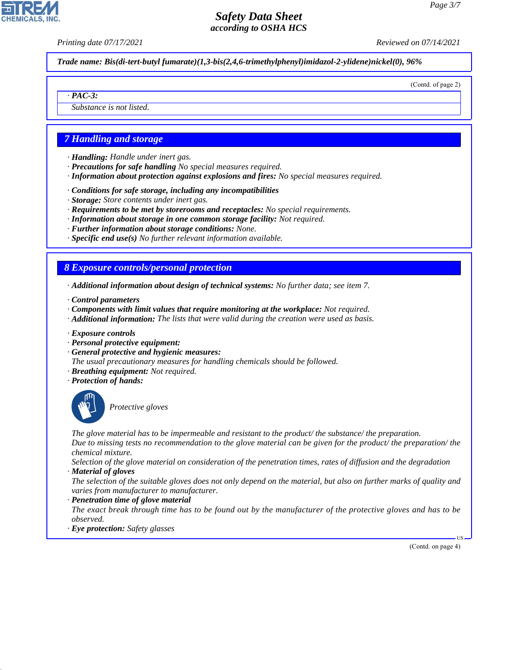*Printing date 07/17/2021 Reviewed on 07/14/2021*

*Trade name: Bis(di-tert-butyl fumarate)(1,3-bis(2,4,6-trimethylphenyl)imidazol-2-ylidene)nickel(0), 96%*

(Contd. of page 2)

*· PAC-3: Substance is not listed.*

#### *7 Handling and storage*

- *· Handling: Handle under inert gas.*
- *· Precautions for safe handling No special measures required.*
- *· Information about protection against explosions and fires: No special measures required.*
- *· Conditions for safe storage, including any incompatibilities*
- *· Storage: Store contents under inert gas.*
- *· Requirements to be met by storerooms and receptacles: No special requirements.*
- *· Information about storage in one common storage facility: Not required.*
- *· Further information about storage conditions: None.*
- *· Specific end use(s) No further relevant information available.*

#### *8 Exposure controls/personal protection*

- *· Additional information about design of technical systems: No further data; see item 7.*
- *· Control parameters*
- *· Components with limit values that require monitoring at the workplace: Not required.*
- *· Additional information: The lists that were valid during the creation were used as basis.*
- *· Exposure controls*
- *· Personal protective equipment:*
- *· General protective and hygienic measures:*
- *The usual precautionary measures for handling chemicals should be followed.*
- *· Breathing equipment: Not required.*
- *· Protection of hands:*



44.1.1

\_S*Protective gloves*

*The glove material has to be impermeable and resistant to the product/ the substance/ the preparation. Due to missing tests no recommendation to the glove material can be given for the product/ the preparation/ the chemical mixture.*

*Selection of the glove material on consideration of the penetration times, rates of diffusion and the degradation · Material of gloves*

*The selection of the suitable gloves does not only depend on the material, but also on further marks of quality and varies from manufacturer to manufacturer.*

#### *· Penetration time of glove material*

*The exact break through time has to be found out by the manufacturer of the protective gloves and has to be observed.*

*· Eye protection: Safety glasses*

(Contd. on page 4)

US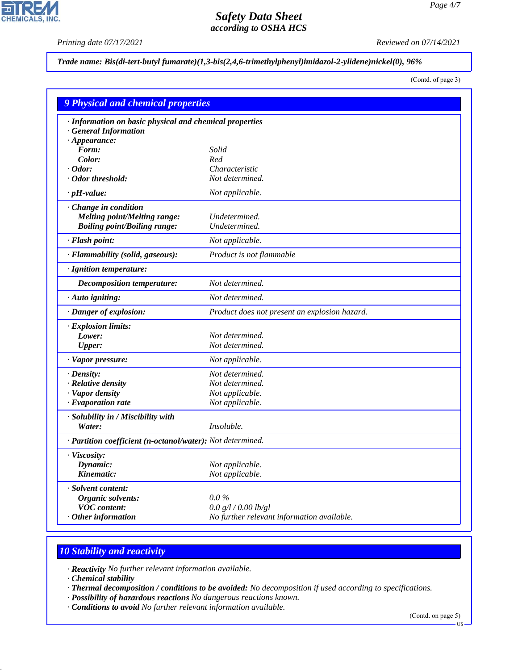$\overline{\phantom{a}}$ 

**CHEMICALS, INC.** 

*Printing date 07/17/2021 Reviewed on 07/14/2021*

*Trade name: Bis(di-tert-butyl fumarate)(1,3-bis(2,4,6-trimethylphenyl)imidazol-2-ylidene)nickel(0), 96%*

(Contd. of page 3)

| 9 Physical and chemical properties                         |                                               |  |
|------------------------------------------------------------|-----------------------------------------------|--|
| · Information on basic physical and chemical properties    |                                               |  |
| · General Information                                      |                                               |  |
| $\cdot$ Appearance:                                        |                                               |  |
| Form:                                                      | Solid                                         |  |
| Color:                                                     | Red                                           |  |
| $\cdot$ Odor:                                              | Characteristic                                |  |
| · Odor threshold:                                          | Not determined.                               |  |
| $\cdot$ pH-value:                                          | Not applicable.                               |  |
| Change in condition                                        |                                               |  |
| <b>Melting point/Melting range:</b>                        | Undetermined.                                 |  |
| <b>Boiling point/Boiling range:</b>                        | Undetermined.                                 |  |
| · Flash point:                                             | Not applicable.                               |  |
| · Flammability (solid, gaseous):                           | Product is not flammable                      |  |
| · Ignition temperature:                                    |                                               |  |
| Decomposition temperature:                                 | Not determined.                               |  |
| · Auto igniting:                                           | Not determined.                               |  |
| · Danger of explosion:                                     | Product does not present an explosion hazard. |  |
| · Explosion limits:                                        |                                               |  |
| Lower:                                                     | Not determined.                               |  |
| <b>Upper:</b>                                              | Not determined.                               |  |
| · Vapor pressure:                                          | Not applicable.                               |  |
| $\cdot$ Density:                                           | Not determined.                               |  |
| · Relative density                                         | Not determined.                               |  |
| · Vapor density                                            | Not applicable.                               |  |
| · Evaporation rate                                         | Not applicable.                               |  |
| · Solubility in / Miscibility with                         |                                               |  |
| Water:                                                     | <i>Insoluble.</i>                             |  |
| · Partition coefficient (n-octanol/water): Not determined. |                                               |  |
| · Viscosity:                                               |                                               |  |
| Dynamic:                                                   | Not applicable.                               |  |
| Kinematic:                                                 | Not applicable.                               |  |
| · Solvent content:                                         |                                               |  |
| Organic solvents:                                          | $0.0\%$                                       |  |
| <b>VOC</b> content:                                        | 0.0 g/l / 0.00 lb/gl                          |  |
| $\cdot$ Other information                                  | No further relevant information available.    |  |

# *10 Stability and reactivity*

*· Reactivity No further relevant information available.*

*· Chemical stability*

44.1.1

*· Thermal decomposition / conditions to be avoided: No decomposition if used according to specifications.*

- *· Possibility of hazardous reactions No dangerous reactions known.*
- *· Conditions to avoid No further relevant information available.*

(Contd. on page 5)

US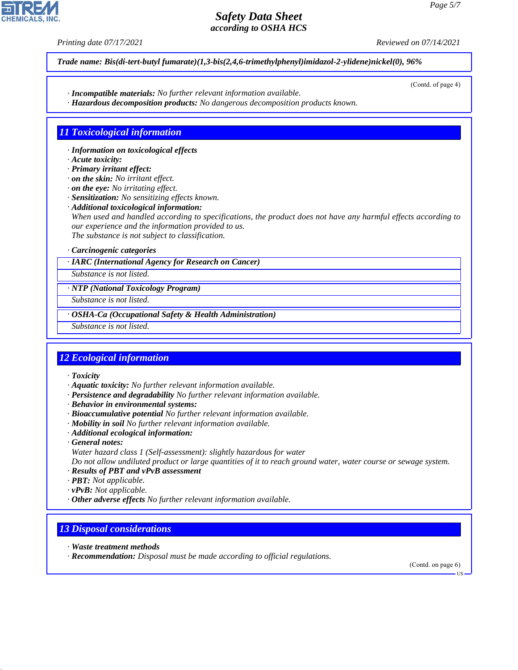*Printing date 07/17/2021 Reviewed on 07/14/2021*

(Contd. of page 4)

*Trade name: Bis(di-tert-butyl fumarate)(1,3-bis(2,4,6-trimethylphenyl)imidazol-2-ylidene)nickel(0), 96%*

- *· Incompatible materials: No further relevant information available.*
- *· Hazardous decomposition products: No dangerous decomposition products known.*

## *11 Toxicological information*

- *· Information on toxicological effects*
- *· Acute toxicity:*
- *· Primary irritant effect:*
- *· on the skin: No irritant effect.*
- *· on the eye: No irritating effect.*
- *· Sensitization: No sensitizing effects known.*
- *· Additional toxicological information:*

*When used and handled according to specifications, the product does not have any harmful effects according to our experience and the information provided to us. The substance is not subject to classification.*

*· Carcinogenic categories*

#### *· IARC (International Agency for Research on Cancer)*

*Substance is not listed.*

#### *· NTP (National Toxicology Program)*

*Substance is not listed.*

*· OSHA-Ca (Occupational Safety & Health Administration)*

*Substance is not listed.*

# *12 Ecological information*

*· Toxicity*

- *· Aquatic toxicity: No further relevant information available.*
- *· Persistence and degradability No further relevant information available.*
- *· Behavior in environmental systems:*
- *· Bioaccumulative potential No further relevant information available.*
- *· Mobility in soil No further relevant information available.*
- *· Additional ecological information:*
- *· General notes:*
- *Water hazard class 1 (Self-assessment): slightly hazardous for water*

*Do not allow undiluted product or large quantities of it to reach ground water, water course or sewage system.*

- *· Results of PBT and vPvB assessment*
- *· PBT: Not applicable.*
- *· vPvB: Not applicable.*
- *· Other adverse effects No further relevant information available.*

#### *13 Disposal considerations*

*· Waste treatment methods*

44.1.1

*· Recommendation: Disposal must be made according to official regulations.*

(Contd. on page 6)

US



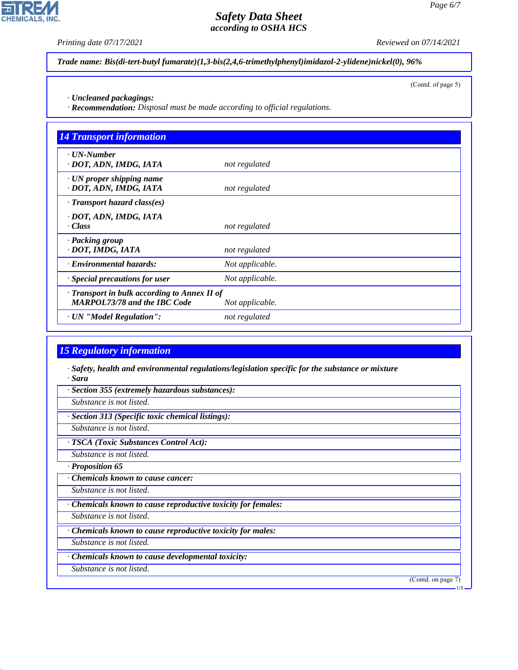**CHEMICALS, INC.** 

*Printing date 07/17/2021 Reviewed on 07/14/2021*

*Trade name: Bis(di-tert-butyl fumarate)(1,3-bis(2,4,6-trimethylphenyl)imidazol-2-ylidene)nickel(0), 96%*

(Contd. of page 5)

*· Uncleaned packagings:*

*· Recommendation: Disposal must be made according to official regulations.*

| <b>14 Transport information</b>                                                           |                 |
|-------------------------------------------------------------------------------------------|-----------------|
| $\cdot$ UN-Number<br>· DOT, ADN, IMDG, IATA                                               | not regulated   |
| $\cdot$ UN proper shipping name<br>· DOT, ADN, IMDG, IATA                                 | not regulated   |
| $\cdot$ Transport hazard class(es)                                                        |                 |
| · DOT, ADN, IMDG, IATA<br>· Class                                                         | not regulated   |
| · Packing group<br>· DOT, IMDG, IATA                                                      | not regulated   |
| · Environmental hazards:                                                                  | Not applicable. |
| · Special precautions for user                                                            | Not applicable. |
| $\cdot$ Transport in bulk according to Annex II of<br><b>MARPOL73/78 and the IBC Code</b> | Not applicable. |
| · UN "Model Regulation":                                                                  | not regulated   |

# *15 Regulatory information*

*· Safety, health and environmental regulations/legislation specific for the substance or mixture · Sara*

*· Section 355 (extremely hazardous substances):*

*Substance is not listed.*

*· Section 313 (Specific toxic chemical listings):*

*Substance is not listed.*

*· TSCA (Toxic Substances Control Act):*

*Substance is not listed.*

*· Proposition 65*

*· Chemicals known to cause cancer:*

*Substance is not listed.*

*· Chemicals known to cause reproductive toxicity for females:*

*Substance is not listed.*

*· Chemicals known to cause reproductive toxicity for males:*

*Substance is not listed.*

*· Chemicals known to cause developmental toxicity:*

*Substance is not listed.*

44.1.1

(Contd. on page 7)

US